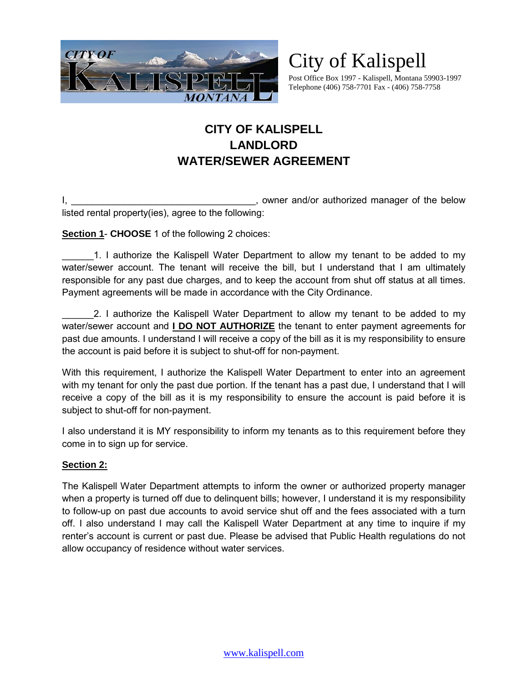

# City of Kalispell

Post Office Box 1997 - Kalispell, Montana 59903-1997 Telephone (406) 758-7701 Fax - (406) 758-7758

## **CITY OF KALISPELL LANDLORD WATER/SEWER AGREEMENT**

I, \_\_\_\_\_\_\_\_\_\_\_\_\_\_\_\_\_\_\_\_\_\_\_\_\_\_\_\_\_\_\_\_\_\_\_, owner and/or authorized manager of the below listed rental property(ies), agree to the following:

**Section 1**- **CHOOSE** 1 of the following 2 choices:

1. I authorize the Kalispell Water Department to allow my tenant to be added to my water/sewer account. The tenant will receive the bill, but I understand that I am ultimately responsible for any past due charges, and to keep the account from shut off status at all times. Payment agreements will be made in accordance with the City Ordinance.

2. I authorize the Kalispell Water Department to allow my tenant to be added to my water/sewer account and **I DO NOT AUTHORIZE** the tenant to enter payment agreements for past due amounts. I understand I will receive a copy of the bill as it is my responsibility to ensure the account is paid before it is subject to shut-off for non-payment.

With this requirement, I authorize the Kalispell Water Department to enter into an agreement with my tenant for only the past due portion. If the tenant has a past due, I understand that I will receive a copy of the bill as it is my responsibility to ensure the account is paid before it is subject to shut-off for non-payment.

I also understand it is MY responsibility to inform my tenants as to this requirement before they come in to sign up for service.

### **Section 2:**

The Kalispell Water Department attempts to inform the owner or authorized property manager when a property is turned off due to delinguent bills; however, I understand it is my responsibility to follow-up on past due accounts to avoid service shut off and the fees associated with a turn off. I also understand I may call the Kalispell Water Department at any time to inquire if my renter's account is current or past due. Please be advised that Public Health regulations do not allow occupancy of residence without water services.